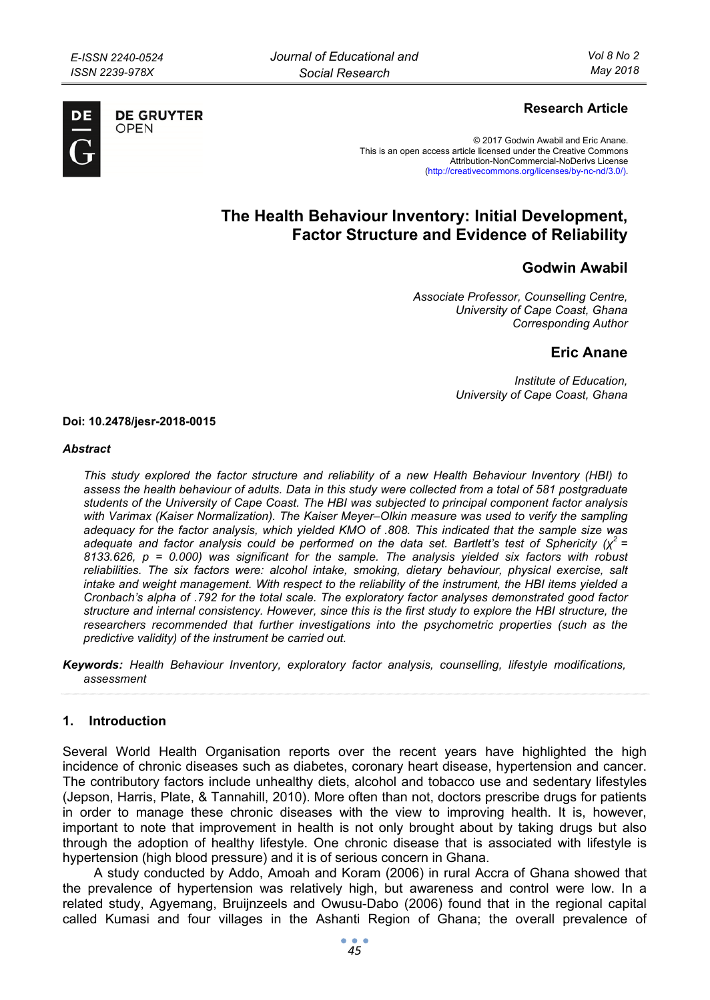

**DE GRUYTER** OPFN

# **Research Article**

© 2017 Godwin Awabil and Eric Anane. This is an open access article licensed under the Creative Commons Attribution-NonCommercial-NoDerivs License (http://creativecommons.org/licenses/by-nc-nd/3.0/).

# **The Health Behaviour Inventory: Initial Development, Factor Structure and Evidence of Reliability**

# **Godwin Awabil**

*Associate Professor, Counselling Centre, University of Cape Coast, Ghana Corresponding Author* 

# **Eric Anane**

*Institute of Education, University of Cape Coast, Ghana* 

#### **Doi: 10.2478/jesr-2018-0015**

#### *Abstract*

*This study explored the factor structure and reliability of a new Health Behaviour Inventory (HBI) to assess the health behaviour of adults. Data in this study were collected from a total of 581 postgraduate students of the University of Cape Coast. The HBI was subjected to principal component factor analysis with Varimax (Kaiser Normalization). The Kaiser Meyer–Olkin measure was used to verify the sampling adequacy for the factor analysis, which yielded KMO of .808. This indicated that the sample size was adequate and factor analysis could be performed on the data set. Bartlett's test of Sphericity (χ2 = 8133.626, p = 0.000) was significant for the sample. The analysis yielded six factors with robust reliabilities. The six factors were: alcohol intake, smoking, dietary behaviour, physical exercise, salt intake and weight management. With respect to the reliability of the instrument, the HBI items yielded a Cronbach's alpha of .792 for the total scale. The exploratory factor analyses demonstrated good factor structure and internal consistency. However, since this is the first study to explore the HBI structure, the researchers recommended that further investigations into the psychometric properties (such as the predictive validity) of the instrument be carried out.* 

*Keywords: Health Behaviour Inventory, exploratory factor analysis, counselling, lifestyle modifications, assessment* 

#### **1. Introduction**

Several World Health Organisation reports over the recent years have highlighted the high incidence of chronic diseases such as diabetes, coronary heart disease, hypertension and cancer. The contributory factors include unhealthy diets, alcohol and tobacco use and sedentary lifestyles (Jepson, Harris, Plate, & Tannahill, 2010). More often than not, doctors prescribe drugs for patients in order to manage these chronic diseases with the view to improving health. It is, however, important to note that improvement in health is not only brought about by taking drugs but also through the adoption of healthy lifestyle. One chronic disease that is associated with lifestyle is hypertension (high blood pressure) and it is of serious concern in Ghana.

A study conducted by Addo, Amoah and Koram (2006) in rural Accra of Ghana showed that the prevalence of hypertension was relatively high, but awareness and control were low. In a related study, Agyemang, Bruijnzeels and Owusu-Dabo (2006) found that in the regional capital called Kumasi and four villages in the Ashanti Region of Ghana; the overall prevalence of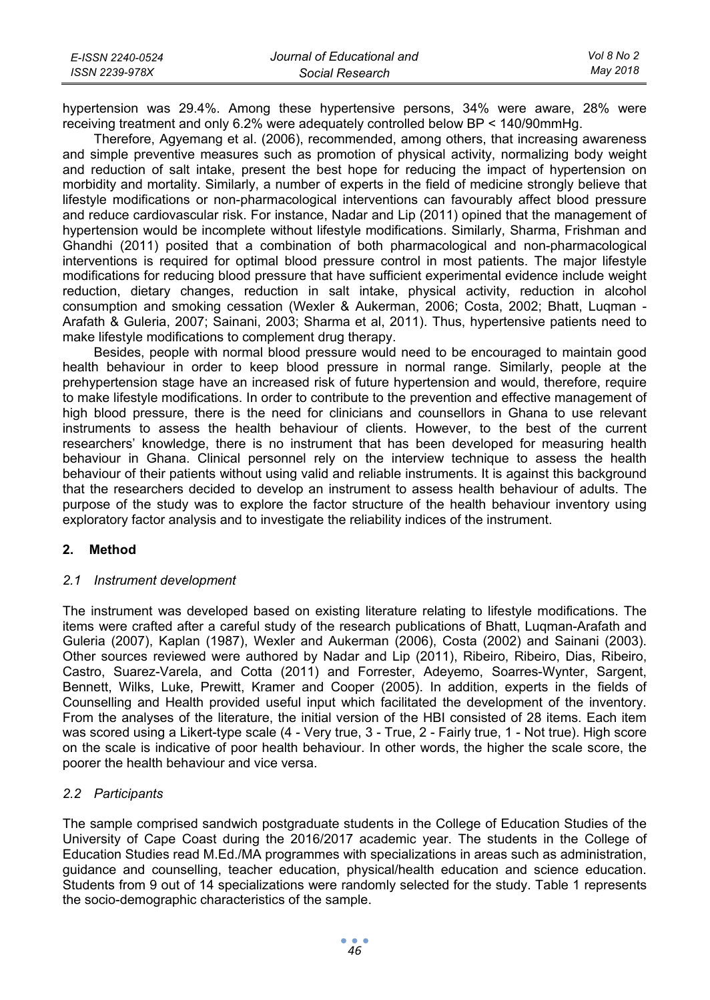| E-ISSN 2240-0524 | Journal of Educational and | Vol 8 No 2 |
|------------------|----------------------------|------------|
| ISSN 2239-978X   | Social Research            | Mav 2018   |

hypertension was 29.4%. Among these hypertensive persons, 34% were aware, 28% were receiving treatment and only 6.2% were adequately controlled below BP < 140/90mmHg.

Therefore, Agyemang et al. (2006), recommended, among others, that increasing awareness and simple preventive measures such as promotion of physical activity, normalizing body weight and reduction of salt intake, present the best hope for reducing the impact of hypertension on morbidity and mortality. Similarly, a number of experts in the field of medicine strongly believe that lifestyle modifications or non-pharmacological interventions can favourably affect blood pressure and reduce cardiovascular risk. For instance, Nadar and Lip (2011) opined that the management of hypertension would be incomplete without lifestyle modifications. Similarly, Sharma, Frishman and Ghandhi (2011) posited that a combination of both pharmacological and non-pharmacological interventions is required for optimal blood pressure control in most patients. The major lifestyle modifications for reducing blood pressure that have sufficient experimental evidence include weight reduction, dietary changes, reduction in salt intake, physical activity, reduction in alcohol consumption and smoking cessation (Wexler & Aukerman, 2006; Costa, 2002; Bhatt, Luqman - Arafath & Guleria, 2007; Sainani, 2003; Sharma et al, 2011). Thus, hypertensive patients need to make lifestyle modifications to complement drug therapy.

Besides, people with normal blood pressure would need to be encouraged to maintain good health behaviour in order to keep blood pressure in normal range. Similarly, people at the prehypertension stage have an increased risk of future hypertension and would, therefore, require to make lifestyle modifications. In order to contribute to the prevention and effective management of high blood pressure, there is the need for clinicians and counsellors in Ghana to use relevant instruments to assess the health behaviour of clients. However, to the best of the current researchers' knowledge, there is no instrument that has been developed for measuring health behaviour in Ghana. Clinical personnel rely on the interview technique to assess the health behaviour of their patients without using valid and reliable instruments. It is against this background that the researchers decided to develop an instrument to assess health behaviour of adults. The purpose of the study was to explore the factor structure of the health behaviour inventory using exploratory factor analysis and to investigate the reliability indices of the instrument.

# **2. Method**

#### *2.1 Instrument development*

The instrument was developed based on existing literature relating to lifestyle modifications. The items were crafted after a careful study of the research publications of Bhatt, Luqman-Arafath and Guleria (2007), Kaplan (1987), Wexler and Aukerman (2006), Costa (2002) and Sainani (2003). Other sources reviewed were authored by Nadar and Lip (2011), Ribeiro, Ribeiro, Dias, Ribeiro, Castro, Suarez-Varela, and Cotta (2011) and Forrester, Adeyemo, Soarres-Wynter, Sargent, Bennett, Wilks, Luke, Prewitt, Kramer and Cooper (2005). In addition, experts in the fields of Counselling and Health provided useful input which facilitated the development of the inventory. From the analyses of the literature, the initial version of the HBI consisted of 28 items. Each item was scored using a Likert-type scale (4 - Very true, 3 - True, 2 - Fairly true, 1 - Not true). High score on the scale is indicative of poor health behaviour. In other words, the higher the scale score, the poorer the health behaviour and vice versa.

# *2.2 Participants*

The sample comprised sandwich postgraduate students in the College of Education Studies of the University of Cape Coast during the 2016/2017 academic year. The students in the College of Education Studies read M.Ed./MA programmes with specializations in areas such as administration, guidance and counselling, teacher education, physical/health education and science education. Students from 9 out of 14 specializations were randomly selected for the study. Table 1 represents the socio-demographic characteristics of the sample.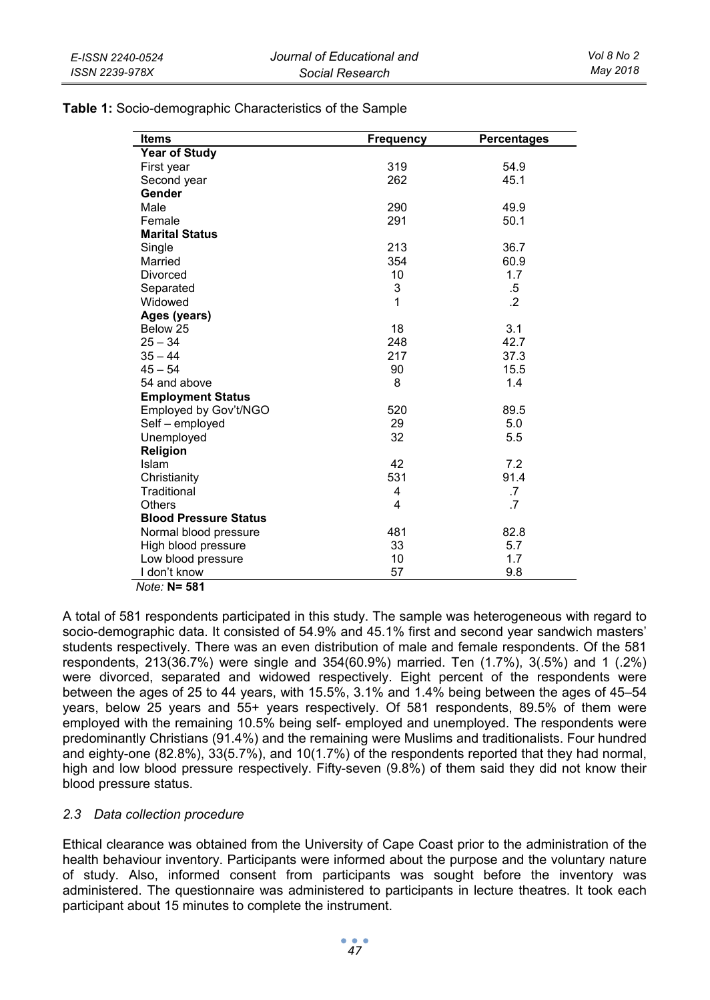**Table 1:** Socio-demographic Characteristics of the Sample

| Items                        | <b>Frequency</b> | Percentages |
|------------------------------|------------------|-------------|
| <b>Year of Study</b>         |                  |             |
| First year                   | 319              | 54.9        |
| Second year                  | 262              | 45.1        |
| Gender                       |                  |             |
| Male                         | 290              | 49.9        |
| Female                       | 291              | 50.1        |
| <b>Marital Status</b>        |                  |             |
| Single                       | 213              | 36.7        |
| Married                      | 354              | 60.9        |
| <b>Divorced</b>              | 10               | 1.7         |
| Separated                    | 3                | $.5\,$      |
| Widowed                      | 1                | $\cdot$     |
| Ages (years)                 |                  |             |
| Below 25                     | 18               | 3.1         |
| $25 - 34$                    | 248              | 42.7        |
| $35 - 44$                    | 217              | 37.3        |
| $45 - 54$                    | 90               | 15.5        |
| 54 and above                 | 8                | 1.4         |
| <b>Employment Status</b>     |                  |             |
| Employed by Gov't/NGO        | 520              | 89.5        |
| Self - employed              | 29               | 5.0         |
| Unemployed                   | 32               | 5.5         |
| Religion                     |                  |             |
| Islam                        | 42               | 7.2         |
| Christianity                 | 531              | 91.4        |
| Traditional                  | 4                | .7          |
| Others                       | 4                | .7          |
| <b>Blood Pressure Status</b> |                  |             |
| Normal blood pressure        | 481              | 82.8        |
| High blood pressure          | 33               | 5.7         |
| Low blood pressure           | 10               | 1.7         |
| I don't know                 | 57               | 9.8         |

*Note:* **N= 581**

A total of 581 respondents participated in this study. The sample was heterogeneous with regard to socio-demographic data. It consisted of 54.9% and 45.1% first and second year sandwich masters' students respectively. There was an even distribution of male and female respondents. Of the 581 respondents, 213(36.7%) were single and 354(60.9%) married. Ten (1.7%), 3(.5%) and 1 (.2%) were divorced, separated and widowed respectively. Eight percent of the respondents were between the ages of 25 to 44 years, with 15.5%, 3.1% and 1.4% being between the ages of 45–54 years, below 25 years and 55+ years respectively. Of 581 respondents, 89.5% of them were employed with the remaining 10.5% being self- employed and unemployed. The respondents were predominantly Christians (91.4%) and the remaining were Muslims and traditionalists. Four hundred and eighty-one (82.8%), 33(5.7%), and 10(1.7%) of the respondents reported that they had normal, high and low blood pressure respectively. Fifty-seven (9.8%) of them said they did not know their blood pressure status.

# *2.3 Data collection procedure*

Ethical clearance was obtained from the University of Cape Coast prior to the administration of the health behaviour inventory. Participants were informed about the purpose and the voluntary nature of study. Also, informed consent from participants was sought before the inventory was administered. The questionnaire was administered to participants in lecture theatres. It took each participant about 15 minutes to complete the instrument.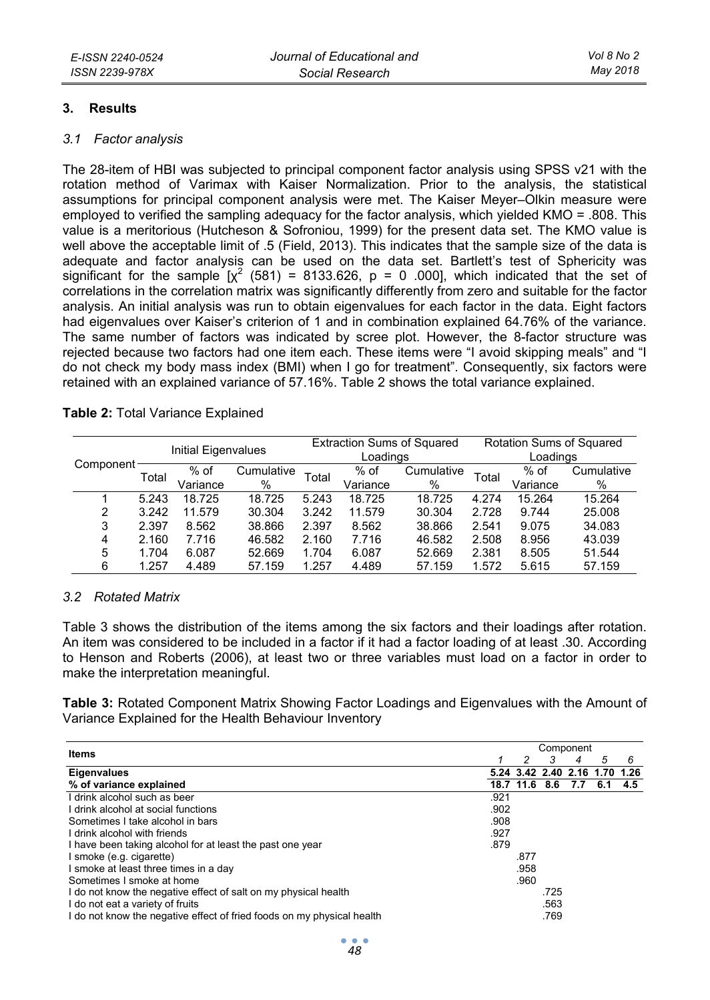### **3. Results**

#### *3.1 Factor analysis*

The 28-item of HBI was subjected to principal component factor analysis using SPSS v21 with the rotation method of Varimax with Kaiser Normalization. Prior to the analysis, the statistical assumptions for principal component analysis were met. The Kaiser Meyer–Olkin measure were employed to verified the sampling adequacy for the factor analysis, which yielded KMO = .808. This value is a meritorious (Hutcheson & Sofroniou, 1999) for the present data set. The KMO value is well above the acceptable limit of .5 (Field, 2013). This indicates that the sample size of the data is adequate and factor analysis can be used on the data set. Bartlett's test of Sphericity was significant for the sample  $\left[\chi^2\right]$  (581) = 8133.626, p = 0 .000], which indicated that the set of correlations in the correlation matrix was significantly differently from zero and suitable for the factor analysis. An initial analysis was run to obtain eigenvalues for each factor in the data. Eight factors had eigenvalues over Kaiser's criterion of 1 and in combination explained 64.76% of the variance. The same number of factors was indicated by scree plot. However, the 8-factor structure was rejected because two factors had one item each. These items were "I avoid skipping meals" and "I do not check my body mass index (BMI) when I go for treatment". Consequently, six factors were retained with an explained variance of 57.16%. Table 2 shows the total variance explained.

### **Table 2:** Total Variance Explained

|           |       |                     |            |       |          | <b>Extraction Sums of Squared</b> |       |          | Rotation Sums of Squared |  |
|-----------|-------|---------------------|------------|-------|----------|-----------------------------------|-------|----------|--------------------------|--|
| Component |       | Initial Eigenvalues |            |       | Loadings |                                   |       | Loadings |                          |  |
|           | Total | % of                | Cumulative | Total | $%$ of   | Cumulative                        | Total | % of     | Cumulative               |  |
|           |       | Variance            | %          |       | Variance | %                                 |       | Variance | %                        |  |
|           | 5.243 | 18.725              | 18.725     | 5.243 | 18.725   | 18.725                            | 4.274 | 15.264   | 15.264                   |  |
| 2         | 3.242 | 11.579              | 30.304     | 3.242 | 11.579   | 30.304                            | 2.728 | 9.744    | 25.008                   |  |
| 3         | 2.397 | 8.562               | 38.866     | 2.397 | 8.562    | 38.866                            | 2.541 | 9.075    | 34.083                   |  |
| 4         | 2.160 | 7.716               | 46.582     | 2.160 | 7.716    | 46.582                            | 2.508 | 8.956    | 43.039                   |  |
| 5         | 1.704 | 6.087               | 52.669     | 1.704 | 6.087    | 52.669                            | 2.381 | 8.505    | 51.544                   |  |
| 6         | 1.257 | 4.489               | 57.159     | 1.257 | 4.489    | 57.159                            | 1.572 | 5.615    | 57.159                   |  |

# *3.2 Rotated Matrix*

Table 3 shows the distribution of the items among the six factors and their loadings after rotation. An item was considered to be included in a factor if it had a factor loading of at least .30. According to Henson and Roberts (2006), at least two or three variables must load on a factor in order to make the interpretation meaningful.

**Table 3:** Rotated Component Matrix Showing Factor Loadings and Eigenvalues with the Amount of Variance Explained for the Health Behaviour Inventory

| Items                                                                  |      |               |      | Component                |     |      |
|------------------------------------------------------------------------|------|---------------|------|--------------------------|-----|------|
|                                                                        |      | 2             | 3    | 4                        | 5   | 6    |
| Eigenvalues                                                            |      |               |      | 5.24 3.42 2.40 2.16 1.70 |     | 1.26 |
| % of variance explained                                                |      | 18.7 11.6 8.6 |      | 7.7                      | 6.1 | 4.5  |
| I drink alcohol such as beer                                           | .921 |               |      |                          |     |      |
| I drink alcohol at social functions                                    | .902 |               |      |                          |     |      |
| Sometimes I take alcohol in bars                                       | .908 |               |      |                          |     |      |
| I drink alcohol with friends                                           | .927 |               |      |                          |     |      |
| I have been taking alcohol for at least the past one year              | .879 |               |      |                          |     |      |
| smoke (e.g. cigarette)                                                 |      | .877          |      |                          |     |      |
| smoke at least three times in a day                                    |      | .958          |      |                          |     |      |
| Sometimes I smoke at home                                              |      | .960          |      |                          |     |      |
| I do not know the negative effect of salt on my physical health        |      |               | .725 |                          |     |      |
| I do not eat a variety of fruits                                       |      |               | .563 |                          |     |      |
| I do not know the negative effect of fried foods on my physical health |      |               | .769 |                          |     |      |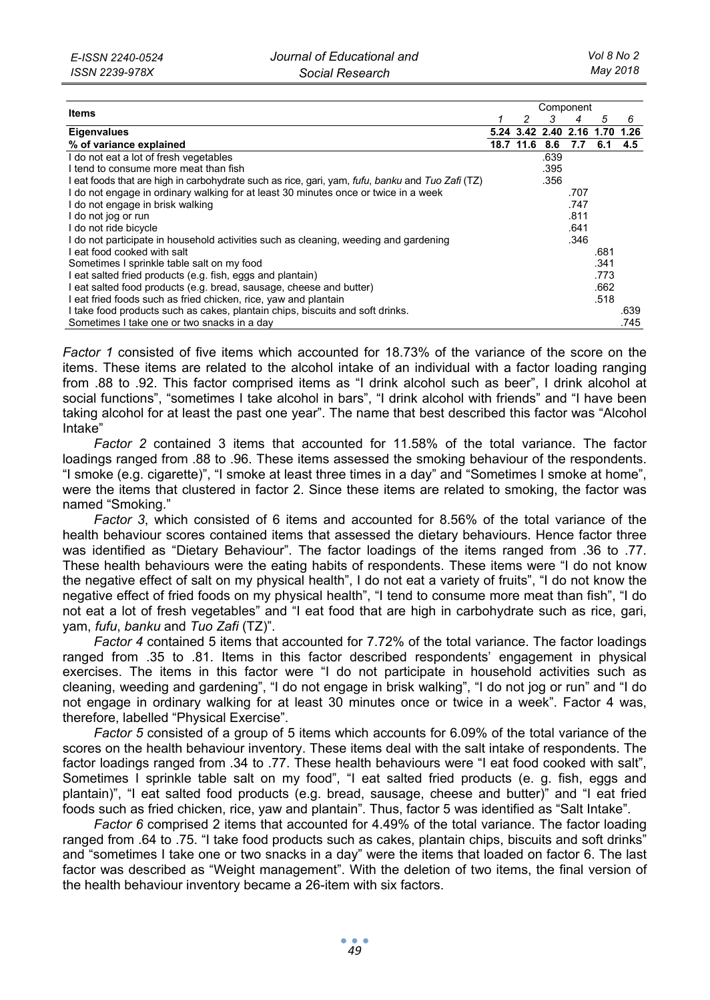|                                                                                                  |      | Component |      |                          |      |      |  |
|--------------------------------------------------------------------------------------------------|------|-----------|------|--------------------------|------|------|--|
| Items                                                                                            |      | 2         | 3    | 4                        | 5    | 6    |  |
| <b>Eigenvalues</b>                                                                               |      |           |      | 5.24 3.42 2.40 2.16 1.70 |      | 1.26 |  |
| % of variance explained                                                                          | 18.7 | 11.6      | 8.6  | 7.7                      |      | 4.5  |  |
| I do not eat a lot of fresh vegetables                                                           |      |           | .639 |                          |      |      |  |
| I tend to consume more meat than fish                                                            |      |           | .395 |                          |      |      |  |
| I eat foods that are high in carbohydrate such as rice, gari, yam, fufu, banku and Tuo Zafi (TZ) |      |           | .356 |                          |      |      |  |
| I do not engage in ordinary walking for at least 30 minutes once or twice in a week              |      |           |      | .707                     |      |      |  |
| I do not engage in brisk walking                                                                 |      |           |      | .747                     |      |      |  |
| I do not jog or run                                                                              |      |           |      | .811                     |      |      |  |
| I do not ride bicycle                                                                            |      |           |      | .641                     |      |      |  |
| l do not participate in household activities such as cleaning, weeding and gardening             |      |           |      | .346                     |      |      |  |
| l eat food cooked with salt                                                                      |      |           |      |                          | .681 |      |  |
| Sometimes I sprinkle table salt on my food                                                       |      |           |      |                          | .341 |      |  |
| I eat salted fried products (e.g. fish, eggs and plantain)                                       |      |           |      |                          | .773 |      |  |
| I eat salted food products (e.g. bread, sausage, cheese and butter)                              |      |           |      |                          | .662 |      |  |
| I eat fried foods such as fried chicken, rice, yaw and plantain                                  |      |           |      |                          | .518 |      |  |
| I take food products such as cakes, plantain chips, biscuits and soft drinks.                    |      |           |      |                          |      | .639 |  |
| Sometimes I take one or two snacks in a day                                                      |      |           |      |                          |      | .745 |  |

*Factor 1* consisted of five items which accounted for 18.73% of the variance of the score on the items. These items are related to the alcohol intake of an individual with a factor loading ranging from .88 to .92. This factor comprised items as "I drink alcohol such as beer", I drink alcohol at social functions", "sometimes I take alcohol in bars", "I drink alcohol with friends" and "I have been taking alcohol for at least the past one year". The name that best described this factor was "Alcohol Intake"

*Factor 2* contained 3 items that accounted for 11.58% of the total variance. The factor loadings ranged from .88 to .96. These items assessed the smoking behaviour of the respondents. "I smoke (e.g. cigarette)", "I smoke at least three times in a day" and "Sometimes I smoke at home", were the items that clustered in factor 2. Since these items are related to smoking, the factor was named "Smoking."

*Factor 3*, which consisted of 6 items and accounted for 8.56% of the total variance of the health behaviour scores contained items that assessed the dietary behaviours. Hence factor three was identified as "Dietary Behaviour". The factor loadings of the items ranged from .36 to .77. These health behaviours were the eating habits of respondents. These items were "I do not know the negative effect of salt on my physical health", I do not eat a variety of fruits", "I do not know the negative effect of fried foods on my physical health", "I tend to consume more meat than fish", "I do not eat a lot of fresh vegetables" and "I eat food that are high in carbohydrate such as rice, gari, yam, *fufu*, *banku* and *Tuo Zafi* (TZ)".

*Factor 4* contained 5 items that accounted for 7.72% of the total variance. The factor loadings ranged from .35 to .81. Items in this factor described respondents' engagement in physical exercises. The items in this factor were "I do not participate in household activities such as cleaning, weeding and gardening", "I do not engage in brisk walking", "I do not jog or run" and "I do not engage in ordinary walking for at least 30 minutes once or twice in a week". Factor 4 was, therefore, labelled "Physical Exercise".

*Factor 5* consisted of a group of 5 items which accounts for 6.09% of the total variance of the scores on the health behaviour inventory. These items deal with the salt intake of respondents. The factor loadings ranged from .34 to .77. These health behaviours were "I eat food cooked with salt", Sometimes I sprinkle table salt on my food", "I eat salted fried products (e. g. fish, eggs and plantain)", "I eat salted food products (e.g. bread, sausage, cheese and butter)" and "I eat fried foods such as fried chicken, rice, yaw and plantain". Thus, factor 5 was identified as "Salt Intake".

*Factor 6* comprised 2 items that accounted for 4.49% of the total variance. The factor loading ranged from .64 to .75. "I take food products such as cakes, plantain chips, biscuits and soft drinks" and "sometimes I take one or two snacks in a day" were the items that loaded on factor 6. The last factor was described as "Weight management". With the deletion of two items, the final version of the health behaviour inventory became a 26-item with six factors.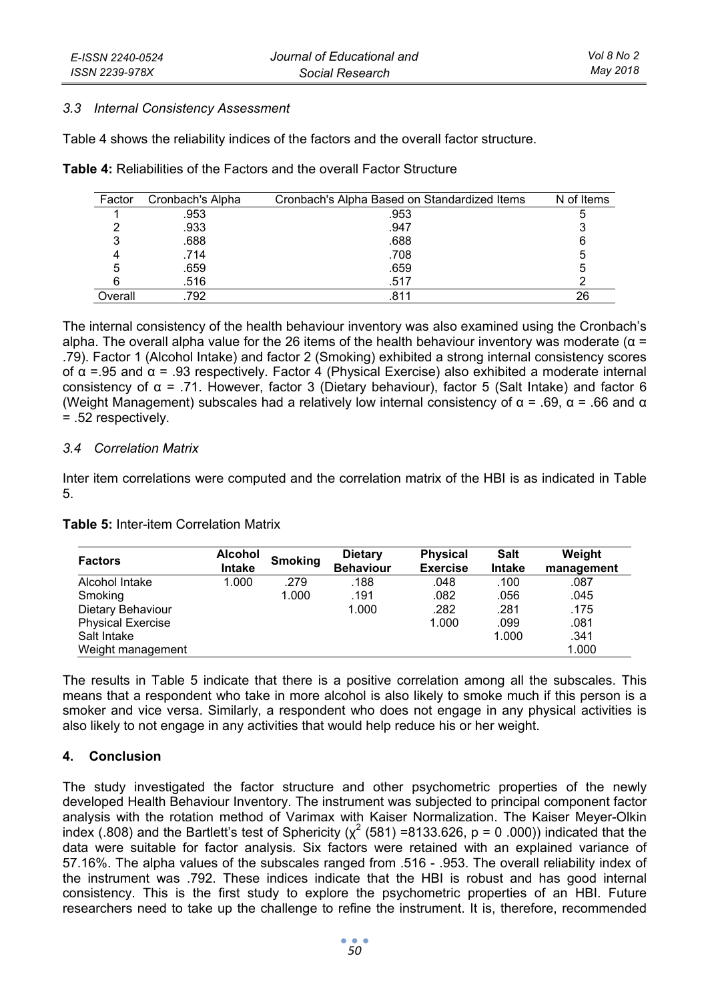#### *3.3 Internal Consistency Assessment*

Table 4 shows the reliability indices of the factors and the overall factor structure.

|  |  | <b>Table 4:</b> Reliabilities of the Factors and the overall Factor Structure |
|--|--|-------------------------------------------------------------------------------|
|--|--|-------------------------------------------------------------------------------|

| Factor  | Cronbach's Alpha | Cronbach's Alpha Based on Standardized Items | N of Items |
|---------|------------------|----------------------------------------------|------------|
|         | .953             | .953                                         |            |
|         | .933             | .947                                         |            |
|         | .688             | .688                                         | 6          |
|         | .714             | .708                                         | 5          |
|         | .659             | .659                                         | 5          |
|         | .516             | .517                                         |            |
| Overall | .792             | .811                                         | 26         |

The internal consistency of the health behaviour inventory was also examined using the Cronbach's alpha. The overall alpha value for the 26 items of the health behaviour inventory was moderate ( $\alpha$  = .79). Factor 1 (Alcohol Intake) and factor 2 (Smoking) exhibited a strong internal consistency scores of α =.95 and α = .93 respectively. Factor 4 (Physical Exercise) also exhibited a moderate internal consistency of α = .71. However, factor 3 (Dietary behaviour), factor 5 (Salt Intake) and factor 6 (Weight Management) subscales had a relatively low internal consistency of  $\alpha$  = .69,  $\alpha$  = .66 and  $\alpha$ = .52 respectively.

### *3.4 Correlation Matrix*

Inter item correlations were computed and the correlation matrix of the HBI is as indicated in Table 5.

| <b>Table 5: Inter-item Correlation Matrix</b> |  |
|-----------------------------------------------|--|
|-----------------------------------------------|--|

| <b>Factors</b>           | Alcohol<br><b>Intake</b> | <b>Smoking</b> | <b>Dietary</b><br><b>Behaviour</b> | Physical<br><b>Exercise</b> | <b>Salt</b><br>Intake | Weight<br>management |
|--------------------------|--------------------------|----------------|------------------------------------|-----------------------------|-----------------------|----------------------|
| Alcohol Intake           | 1.000                    | .279           | .188                               | .048                        | .100                  | .087                 |
| Smoking                  |                          | 1.000          | .191                               | .082                        | .056                  | .045                 |
| Dietary Behaviour        |                          |                | 1.000                              | .282                        | .281                  | .175                 |
| <b>Physical Exercise</b> |                          |                |                                    | 1.000                       | .099                  | .081                 |
| Salt Intake              |                          |                |                                    |                             | 1.000                 | .341                 |
| Weight management        |                          |                |                                    |                             |                       | 1.000                |

The results in Table 5 indicate that there is a positive correlation among all the subscales. This means that a respondent who take in more alcohol is also likely to smoke much if this person is a smoker and vice versa. Similarly, a respondent who does not engage in any physical activities is also likely to not engage in any activities that would help reduce his or her weight.

# **4. Conclusion**

The study investigated the factor structure and other psychometric properties of the newly developed Health Behaviour Inventory. The instrument was subjected to principal component factor analysis with the rotation method of Varimax with Kaiser Normalization. The Kaiser Meyer-Olkin index (.808) and the Bartlett's test of Sphericity ( $\chi^2$  (581) =8133.626, p = 0 .000)) indicated that the data were suitable for factor analysis. Six factors were retained with an explained variance of 57.16%. The alpha values of the subscales ranged from .516 - .953. The overall reliability index of the instrument was .792. These indices indicate that the HBI is robust and has good internal consistency. This is the first study to explore the psychometric properties of an HBI. Future researchers need to take up the challenge to refine the instrument. It is, therefore, recommended